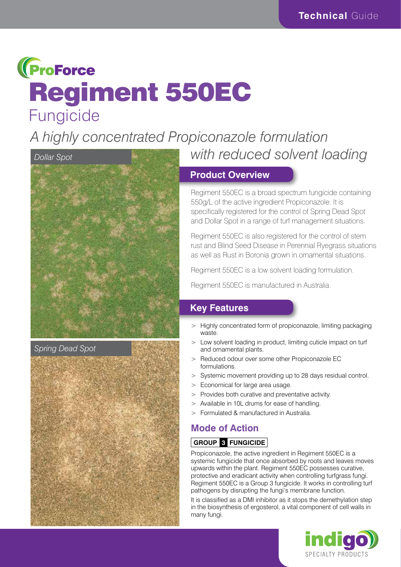## **(ProForce** Regiment 550EC Fungicide

*A highly concentrated Propiconazole formulation* 



#### *Spring Dead Spot*



# *with reduced solvent loading*

#### **Product Overview**

Regiment 550EC is a broad spectrum fungicide containing 550g/L of the active ingredient Propiconazole. It is specifically registered for the control of Spring Dead Spot and Dollar Spot in a range of turf management situations.

Regiment 550EC is also registered for the control of stem rust and Blind Seed Disease in Perennial Ryegrass situations as well as Rust in Boronia grown in ornamental situations.

Regiment 550EC is a low solvent loading formulation.

Regiment 550EC is manufactured in Australia.

#### **Key Features**

- > Highly concentrated form of propiconazole, limiting packaging waste.
- > Low solvent loading in product, limiting cuticle impact on turf and ornamental plants.
- > Reduced odour over some other Propiconazole EC formulations.
- > Systemic movement providing up to 28 days residual control.
- > Economical for large area usage.
- > Provides both curative and preventative activity.
- > Available in 10L drums for ease of handling.
- > Formulated & manufactured in Australia.

### **Mode of Action**

#### **GROUP 3 FUNGICIDE**

Propiconazole, the active ingredient in Regiment 550EC is a systemic fungicide that once absorbed by roots and leaves moves upwards within the plant. Regiment 550EC possesses curative, protective and eradicant activity when controlling turfgrass fungi. Regiment 550EC is a Group 3 fungicide. It works in controlling turf pathogens by disrupting the fungi's membrane function.

It is classified as a DMI inhibitor as it stops the demethylation step in the biosynthesis of ergosterol, a vital component of cell walls in many fungi.